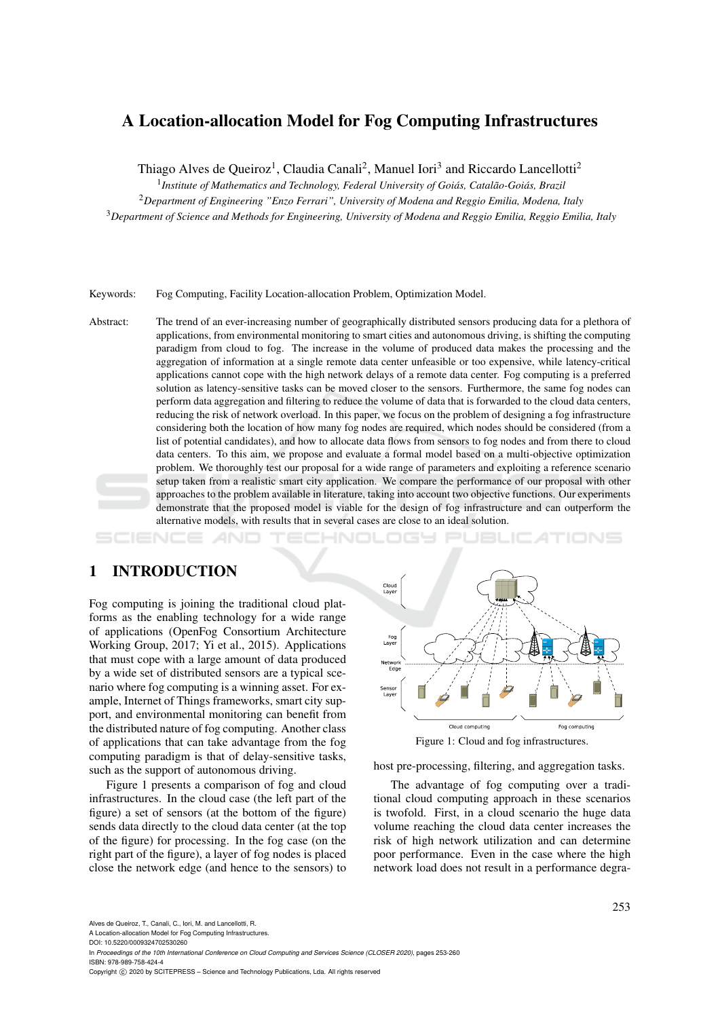# A Location-allocation Model for Fog Computing Infrastructures

Thiago Alves de Queiroz<sup>1</sup>, Claudia Canali<sup>2</sup>, Manuel Iori<sup>3</sup> and Riccardo Lancellotti<sup>2</sup>

<sup>1</sup> Institute of Mathematics and Technology, Federal University of Goiás, Catalão-Goiás, Brazil

<sup>2</sup>*Department of Engineering "Enzo Ferrari", University of Modena and Reggio Emilia, Modena, Italy* <sup>3</sup>*Department of Science and Methods for Engineering, University of Modena and Reggio Emilia, Reggio Emilia, Italy*

Keywords: Fog Computing, Facility Location-allocation Problem, Optimization Model.

Abstract: The trend of an ever-increasing number of geographically distributed sensors producing data for a plethora of applications, from environmental monitoring to smart cities and autonomous driving, is shifting the computing paradigm from cloud to fog. The increase in the volume of produced data makes the processing and the aggregation of information at a single remote data center unfeasible or too expensive, while latency-critical applications cannot cope with the high network delays of a remote data center. Fog computing is a preferred solution as latency-sensitive tasks can be moved closer to the sensors. Furthermore, the same fog nodes can perform data aggregation and filtering to reduce the volume of data that is forwarded to the cloud data centers, reducing the risk of network overload. In this paper, we focus on the problem of designing a fog infrastructure considering both the location of how many fog nodes are required, which nodes should be considered (from a list of potential candidates), and how to allocate data flows from sensors to fog nodes and from there to cloud data centers. To this aim, we propose and evaluate a formal model based on a multi-objective optimization problem. We thoroughly test our proposal for a wide range of parameters and exploiting a reference scenario setup taken from a realistic smart city application. We compare the performance of our proposal with other approaches to the problem available in literature, taking into account two objective functions. Our experiments demonstrate that the proposed model is viable for the design of fog infrastructure and can outperform the alternative models, with results that in several cases are close to an ideal solution.

## 1 INTRODUCTION

Fog computing is joining the traditional cloud platforms as the enabling technology for a wide range of applications (OpenFog Consortium Architecture Working Group, 2017; Yi et al., 2015). Applications that must cope with a large amount of data produced by a wide set of distributed sensors are a typical scenario where fog computing is a winning asset. For example, Internet of Things frameworks, smart city support, and environmental monitoring can benefit from the distributed nature of fog computing. Another class of applications that can take advantage from the fog computing paradigm is that of delay-sensitive tasks, such as the support of autonomous driving.

Figure 1 presents a comparison of fog and cloud infrastructures. In the cloud case (the left part of the figure) a set of sensors (at the bottom of the figure) sends data directly to the cloud data center (at the top of the figure) for processing. In the fog case (on the right part of the figure), a layer of fog nodes is placed close the network edge (and hence to the sensors) to



host pre-processing, filtering, and aggregation tasks.

The advantage of fog computing over a traditional cloud computing approach in these scenarios is twofold. First, in a cloud scenario the huge data volume reaching the cloud data center increases the risk of high network utilization and can determine poor performance. Even in the case where the high network load does not result in a performance degra-

Alves de Queiroz, T., Canali, C., Iori, M. and Lancellotti, R.

A Location-allocation Model for Fog Computing Infrastructures. DOI: 10.5220/0009324702530260

In *Proceedings of the 10th International Conference on Cloud Computing and Services Science (CLOSER 2020)*, pages 253-260 ISBN: 978-989-758-424-4

Copyright (C) 2020 by SCITEPRESS - Science and Technology Publications, Lda. All rights reserved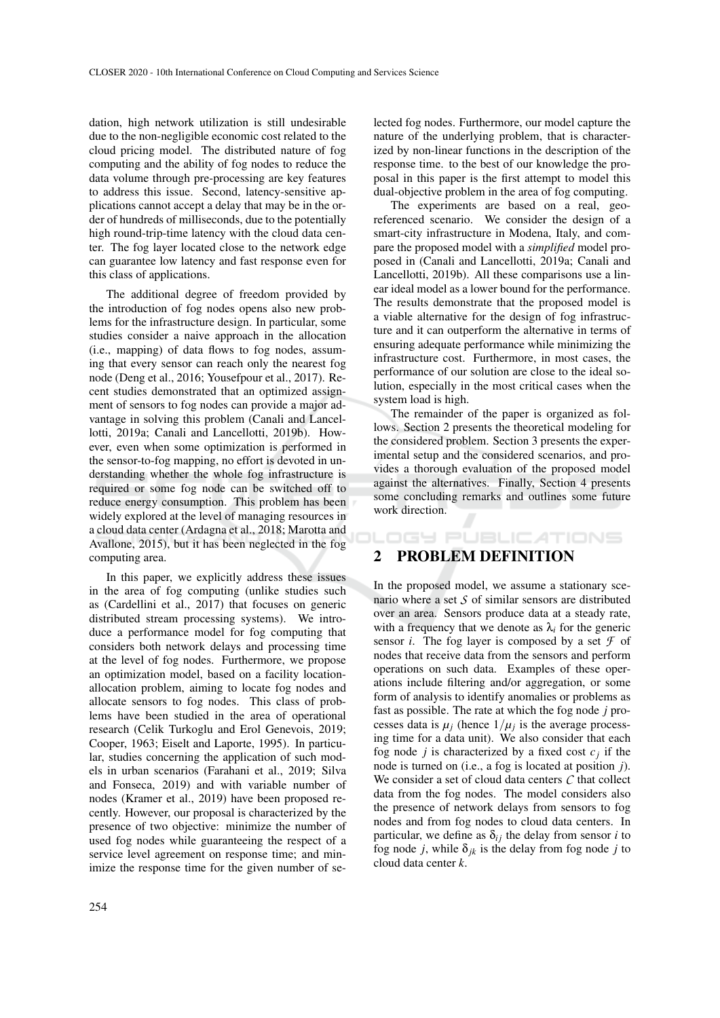dation, high network utilization is still undesirable due to the non-negligible economic cost related to the cloud pricing model. The distributed nature of fog computing and the ability of fog nodes to reduce the data volume through pre-processing are key features to address this issue. Second, latency-sensitive applications cannot accept a delay that may be in the order of hundreds of milliseconds, due to the potentially high round-trip-time latency with the cloud data center. The fog layer located close to the network edge can guarantee low latency and fast response even for this class of applications.

The additional degree of freedom provided by the introduction of fog nodes opens also new problems for the infrastructure design. In particular, some studies consider a naive approach in the allocation (i.e., mapping) of data flows to fog nodes, assuming that every sensor can reach only the nearest fog node (Deng et al., 2016; Yousefpour et al., 2017). Recent studies demonstrated that an optimized assignment of sensors to fog nodes can provide a major advantage in solving this problem (Canali and Lancellotti, 2019a; Canali and Lancellotti, 2019b). However, even when some optimization is performed in the sensor-to-fog mapping, no effort is devoted in understanding whether the whole fog infrastructure is required or some fog node can be switched off to reduce energy consumption. This problem has been widely explored at the level of managing resources in a cloud data center (Ardagna et al., 2018; Marotta and Avallone, 2015), but it has been neglected in the fog computing area.

In this paper, we explicitly address these issues in the area of fog computing (unlike studies such as (Cardellini et al., 2017) that focuses on generic distributed stream processing systems). We introduce a performance model for fog computing that considers both network delays and processing time at the level of fog nodes. Furthermore, we propose an optimization model, based on a facility locationallocation problem, aiming to locate fog nodes and allocate sensors to fog nodes. This class of problems have been studied in the area of operational research (Celik Turkoglu and Erol Genevois, 2019; Cooper, 1963; Eiselt and Laporte, 1995). In particular, studies concerning the application of such models in urban scenarios (Farahani et al., 2019; Silva and Fonseca, 2019) and with variable number of nodes (Kramer et al., 2019) have been proposed recently. However, our proposal is characterized by the presence of two objective: minimize the number of used fog nodes while guaranteeing the respect of a service level agreement on response time; and minimize the response time for the given number of selected fog nodes. Furthermore, our model capture the nature of the underlying problem, that is characterized by non-linear functions in the description of the response time. to the best of our knowledge the proposal in this paper is the first attempt to model this dual-objective problem in the area of fog computing.

The experiments are based on a real, georeferenced scenario. We consider the design of a smart-city infrastructure in Modena, Italy, and compare the proposed model with a *simplified* model proposed in (Canali and Lancellotti, 2019a; Canali and Lancellotti, 2019b). All these comparisons use a linear ideal model as a lower bound for the performance. The results demonstrate that the proposed model is a viable alternative for the design of fog infrastructure and it can outperform the alternative in terms of ensuring adequate performance while minimizing the infrastructure cost. Furthermore, in most cases, the performance of our solution are close to the ideal solution, especially in the most critical cases when the system load is high.

The remainder of the paper is organized as follows. Section 2 presents the theoretical modeling for the considered problem. Section 3 presents the experimental setup and the considered scenarios, and provides a thorough evaluation of the proposed model against the alternatives. Finally, Section 4 presents some concluding remarks and outlines some future work direction.

**DGY PUBLICATIONS** 

### 2 PROBLEM DEFINITION

In the proposed model, we assume a stationary scenario where a set *S* of similar sensors are distributed over an area. Sensors produce data at a steady rate, with a frequency that we denote as  $\lambda_i$  for the generic sensor *i*. The fog layer is composed by a set  $\mathcal F$  of nodes that receive data from the sensors and perform operations on such data. Examples of these operations include filtering and/or aggregation, or some form of analysis to identify anomalies or problems as fast as possible. The rate at which the fog node *j* processes data is  $\mu_j$  (hence  $1/\mu_j$  is the average processing time for a data unit). We also consider that each fog node *j* is characterized by a fixed cost  $c_j$  if the node is turned on (i.e., a fog is located at position *j*). We consider a set of cloud data centers *C* that collect data from the fog nodes. The model considers also the presence of network delays from sensors to fog nodes and from fog nodes to cloud data centers. In particular, we define as  $\delta_{ij}$  the delay from sensor *i* to fog node *j*, while  $\delta_{jk}$  is the delay from fog node *j* to cloud data center *k*.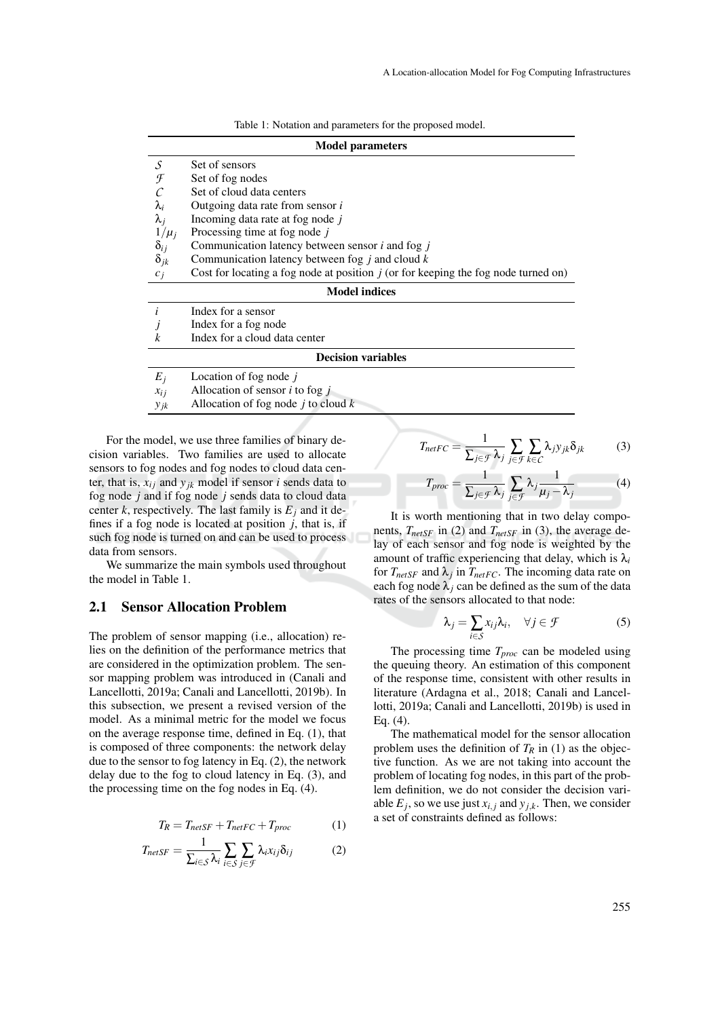| Table 1: Notation and parameters for the proposed model. |  |  |  |  |
|----------------------------------------------------------|--|--|--|--|
|----------------------------------------------------------|--|--|--|--|

| <b>Model parameters</b>   |                                                                                      |  |  |  |  |  |
|---------------------------|--------------------------------------------------------------------------------------|--|--|--|--|--|
| S                         | Set of sensors                                                                       |  |  |  |  |  |
| F                         | Set of fog nodes                                                                     |  |  |  |  |  |
|                           | Set of cloud data centers                                                            |  |  |  |  |  |
| $\lambda_i$               | Outgoing data rate from sensor i                                                     |  |  |  |  |  |
| $\lambda_i$               | Incoming data rate at fog node j                                                     |  |  |  |  |  |
| $1/\mu_i$                 | Processing time at fog node j                                                        |  |  |  |  |  |
| $\delta_{ij}$             | Communication latency between sensor $i$ and fog $j$                                 |  |  |  |  |  |
| $\delta_{ik}$             | Communication latency between fog $\dot{j}$ and cloud $\dot{k}$                      |  |  |  |  |  |
| $c_i$                     | Cost for locating a fog node at position $j$ (or for keeping the fog node turned on) |  |  |  |  |  |
| <b>Model indices</b>      |                                                                                      |  |  |  |  |  |
| i                         | Index for a sensor                                                                   |  |  |  |  |  |
|                           | Index for a fog node                                                                 |  |  |  |  |  |
| k                         | Index for a cloud data center                                                        |  |  |  |  |  |
| <b>Decision variables</b> |                                                                                      |  |  |  |  |  |
| $E_i$                     | Location of fog node $j$                                                             |  |  |  |  |  |
| $x_{i,i}$                 | Allocation of sensor $i$ to fog $j$                                                  |  |  |  |  |  |
| $y_{jk}$                  | Allocation of fog node $j$ to cloud $k$                                              |  |  |  |  |  |

For the model, we use three families of binary decision variables. Two families are used to allocate sensors to fog nodes and fog nodes to cloud data center, that is,  $x_{ij}$  and  $y_{jk}$  model if sensor *i* sends data to fog node *j* and if fog node *j* sends data to cloud data center *k*, respectively. The last family is  $E_i$  and it defines if a fog node is located at position  $\dot{j}$ , that is, if such fog node is turned on and can be used to process data from sensors.

We summarize the main symbols used throughout the model in Table 1.

#### 2.1 Sensor Allocation Problem

The problem of sensor mapping (i.e., allocation) relies on the definition of the performance metrics that are considered in the optimization problem. The sensor mapping problem was introduced in (Canali and Lancellotti, 2019a; Canali and Lancellotti, 2019b). In this subsection, we present a revised version of the model. As a minimal metric for the model we focus on the average response time, defined in Eq. (1), that is composed of three components: the network delay due to the sensor to fog latency in Eq. (2), the network delay due to the fog to cloud latency in Eq. (3), and the processing time on the fog nodes in Eq. (4).

$$
T_R = T_{netSF} + T_{netFC} + T_{proc} \tag{1}
$$

$$
T_{netSF} = \frac{1}{\sum_{i \in S} \lambda_i} \sum_{i \in S} \sum_{j \in \mathcal{F}} \lambda_i x_{ij} \delta_{ij}
$$
 (2)

$$
T_{netFC} = \frac{1}{\sum_{j \in \mathcal{F}} \lambda_j} \sum_{j \in \mathcal{F}} \sum_{k \in \mathcal{C}} \lambda_j y_{jk} \delta_{jk} \tag{3}
$$

$$
T_{proc} = \frac{1}{\sum_{j \in \mathcal{F}} \lambda_j} \sum_{j \in \mathcal{F}} \lambda_j \frac{1}{\mu_j - \lambda_j}
$$
(4)

It is worth mentioning that in two delay components, *TnetSF* in (2) and *TnetSF* in (3), the average delay of each sensor and fog node is weighted by the amount of traffic experiencing that delay, which is  $\lambda_i$ for  $T_{netSF}$  and  $\lambda_j$  in  $T_{netFC}$ . The incoming data rate on each fog node  $\lambda_i$  can be defined as the sum of the data rates of the sensors allocated to that node:

$$
\lambda_j = \sum_{i \in \mathcal{S}} x_{ij} \lambda_i, \quad \forall j \in \mathcal{F}
$$
 (5)

The processing time *Tproc* can be modeled using the queuing theory. An estimation of this component of the response time, consistent with other results in literature (Ardagna et al., 2018; Canali and Lancellotti, 2019a; Canali and Lancellotti, 2019b) is used in Eq. (4).

The mathematical model for the sensor allocation problem uses the definition of  $T_R$  in (1) as the objective function. As we are not taking into account the problem of locating fog nodes, in this part of the problem definition, we do not consider the decision variable  $E_j$ , so we use just  $x_{i,j}$  and  $y_{j,k}$ . Then, we consider a set of constraints defined as follows: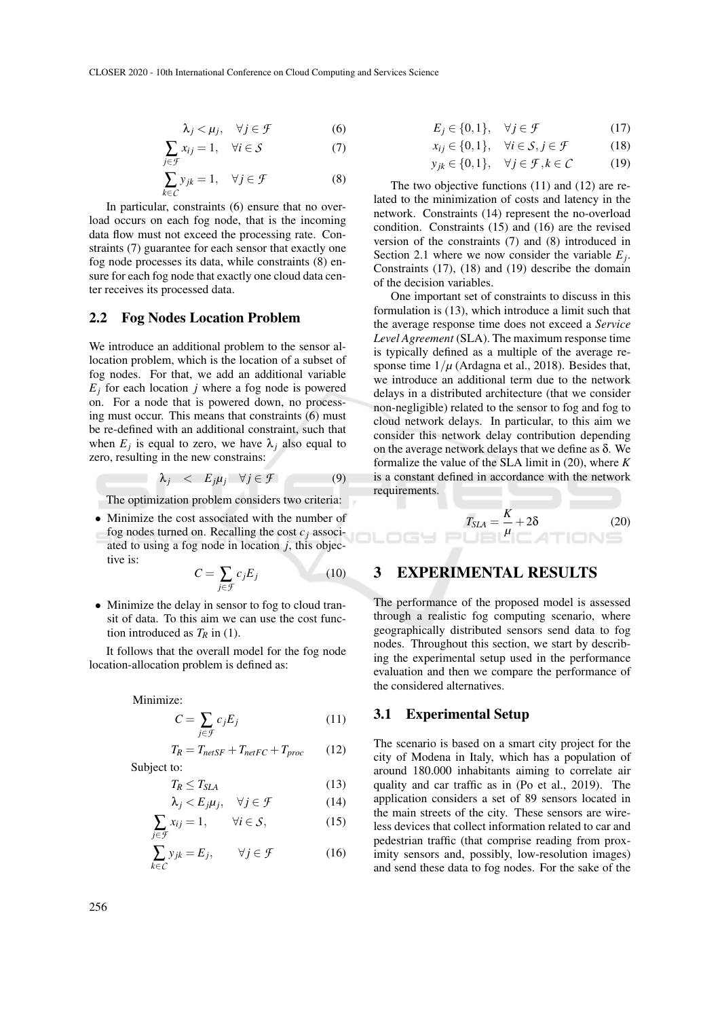$$
\lambda_j < \mu_j, \quad \forall j \in \mathcal{F} \tag{6}
$$

$$
\sum_{j \in \mathcal{F}} x_{ij} = 1, \quad \forall i \in \mathcal{S} \tag{7}
$$

$$
\sum_{k \in C} y_{jk} = 1, \quad \forall j \in \mathcal{F} \tag{8}
$$

In particular, constraints (6) ensure that no overload occurs on each fog node, that is the incoming data flow must not exceed the processing rate. Constraints (7) guarantee for each sensor that exactly one fog node processes its data, while constraints (8) ensure for each fog node that exactly one cloud data center receives its processed data.

#### 2.2 Fog Nodes Location Problem

We introduce an additional problem to the sensor allocation problem, which is the location of a subset of fog nodes. For that, we add an additional variable  $E_j$  for each location *j* where a fog node is powered on. For a node that is powered down, no processing must occur. This means that constraints (6) must be re-defined with an additional constraint, such that when  $E_j$  is equal to zero, we have  $\lambda_j$  also equal to zero, resulting in the new constrains:

$$
\lambda_j \quad < \quad E_j \mu_j \quad \forall j \in \mathcal{F} \tag{9}
$$

The optimization problem considers two criteria:

• Minimize the cost associated with the number of fog nodes turned on. Recalling the cost  $c_j$  associated to using a fog node in location *j*, this objective is:

$$
C = \sum_{j \in \mathcal{F}} c_j E_j \tag{10}
$$

• Minimize the delay in sensor to fog to cloud transit of data. To this aim we can use the cost function introduced as  $T_R$  in (1).

It follows that the overall model for the fog node location-allocation problem is defined as:

Minimize:

$$
C = \sum_{j \in \mathcal{F}} c_j E_j \tag{11}
$$

$$
T_R = T_{netSF} + T_{netFC} + T_{proc} \tag{12}
$$

Subject to:

$$
T_R \le T_{SLA} \tag{13}
$$
\n
$$
\lambda \cdot \langle F \cdot u \cdot \forall i \in \mathcal{F} \tag{14}
$$

$$
\mathbf{V}_j < L_j \mu_j, \quad \forall j \in \mathcal{I} \tag{14}
$$
\n
$$
\mathbf{V}_{j \in \mathcal{I}} \quad \forall j \in \mathcal{I} \tag{15}
$$

$$
\sum_{j \in \mathcal{F}} x_{ij} = 1, \qquad \forall i \in \mathcal{S}, \tag{15}
$$

$$
\sum_{k \in C} y_{jk} = E_j, \qquad \forall j \in \mathcal{F} \tag{16}
$$

$$
E_j \in \{0, 1\}, \quad \forall j \in \mathcal{F} \tag{17}
$$

$$
x_{ij} \in \{0, 1\}, \quad \forall i \in \mathcal{S}, j \in \mathcal{F} \tag{18}
$$

*y*<sub>jk</sub> ∈ {0,1},  $\forall j$  ∈ *F*, *k* ∈ *C* (19)

The two objective functions (11) and (12) are related to the minimization of costs and latency in the network. Constraints (14) represent the no-overload condition. Constraints (15) and (16) are the revised version of the constraints (7) and (8) introduced in Section 2.1 where we now consider the variable  $E_j$ . Constraints (17), (18) and (19) describe the domain of the decision variables.

One important set of constraints to discuss in this formulation is (13), which introduce a limit such that the average response time does not exceed a *Service Level Agreement* (SLA). The maximum response time is typically defined as a multiple of the average response time  $1/\mu$  (Ardagna et al., 2018). Besides that, we introduce an additional term due to the network delays in a distributed architecture (that we consider non-negligible) related to the sensor to fog and fog to cloud network delays. In particular, to this aim we consider this network delay contribution depending on the average network delays that we define as δ. We formalize the value of the SLA limit in (20), where *K* is a constant defined in accordance with the network requirements.

$$
T_{SLA} = \frac{K}{\mu} + 2\delta \tag{20}
$$

#### 3 EXPERIMENTAL RESULTS

The performance of the proposed model is assessed through a realistic fog computing scenario, where geographically distributed sensors send data to fog nodes. Throughout this section, we start by describing the experimental setup used in the performance evaluation and then we compare the performance of the considered alternatives.

#### 3.1 Experimental Setup

The scenario is based on a smart city project for the city of Modena in Italy, which has a population of around 180.000 inhabitants aiming to correlate air quality and car traffic as in (Po et al., 2019). The application considers a set of 89 sensors located in the main streets of the city. These sensors are wireless devices that collect information related to car and pedestrian traffic (that comprise reading from proximity sensors and, possibly, low-resolution images) and send these data to fog nodes. For the sake of the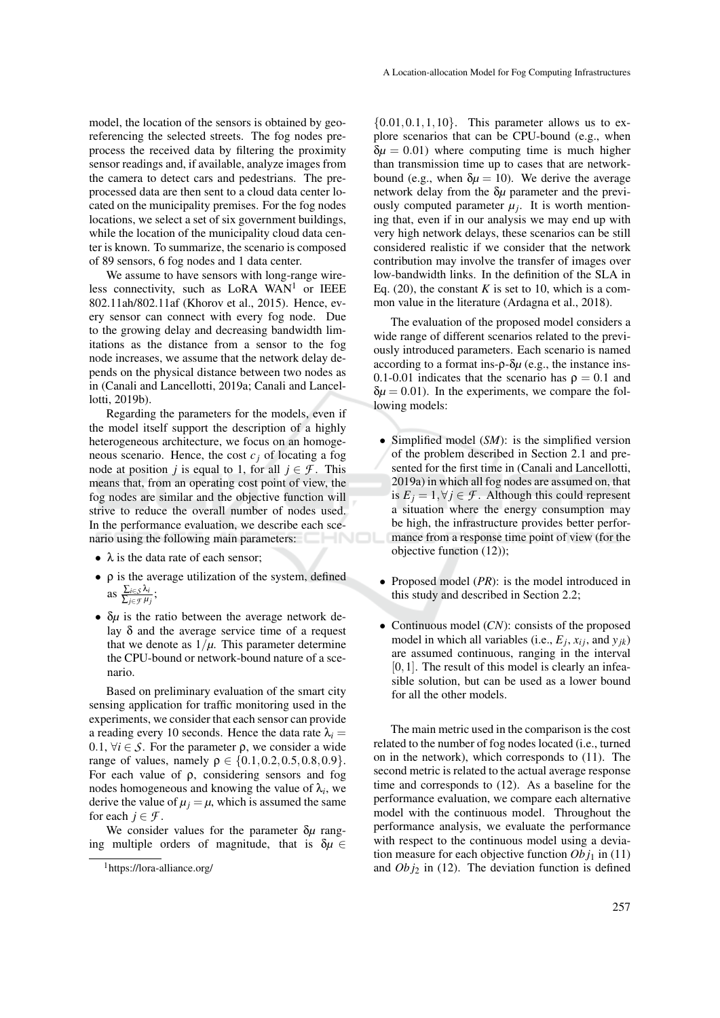model, the location of the sensors is obtained by georeferencing the selected streets. The fog nodes preprocess the received data by filtering the proximity sensor readings and, if available, analyze images from the camera to detect cars and pedestrians. The preprocessed data are then sent to a cloud data center located on the municipality premises. For the fog nodes locations, we select a set of six government buildings, while the location of the municipality cloud data cen-

of 89 sensors, 6 fog nodes and 1 data center. We assume to have sensors with long-range wireless connectivity, such as LoRA WAN<sup>1</sup> or IEEE 802.11ah/802.11af (Khorov et al., 2015). Hence, every sensor can connect with every fog node. Due to the growing delay and decreasing bandwidth limitations as the distance from a sensor to the fog node increases, we assume that the network delay depends on the physical distance between two nodes as in (Canali and Lancellotti, 2019a; Canali and Lancellotti, 2019b).

ter is known. To summarize, the scenario is composed

Regarding the parameters for the models, even if the model itself support the description of a highly heterogeneous architecture, we focus on an homogeneous scenario. Hence, the cost  $c_j$  of locating a fog node at position *j* is equal to 1, for all  $j \in \mathcal{F}$ . This means that, from an operating cost point of view, the fog nodes are similar and the objective function will strive to reduce the overall number of nodes used. In the performance evaluation, we describe each scenario using the following main parameters:

- $\lambda$  is the data rate of each sensor;
- ρ is the average utilization of the system, defined as  $\frac{\sum_{i \in S} \lambda_i}{\sum_{i \in \mathcal{I}} \mu_i}$ ∑*j*∈*F µ<sup>j</sup>* ;
- δ*µ* is the ratio between the average network delay δ and the average service time of a request that we denote as  $1/\mu$ . This parameter determine the CPU-bound or network-bound nature of a scenario.

Based on preliminary evaluation of the smart city sensing application for traffic monitoring used in the experiments, we consider that each sensor can provide a reading every 10 seconds. Hence the data rate  $\lambda_i$ 0.1,  $\forall i \in S$ . For the parameter  $\rho$ , we consider a wide range of values, namely  $\rho \in \{0.1, 0.2, 0.5, 0.8, 0.9\}.$ For each value of ρ, considering sensors and fog nodes homogeneous and knowing the value of  $\lambda_i$ , we derive the value of  $\mu_i = \mu$ , which is assumed the same for each  $j \in \mathcal{F}$ .

We consider values for the parameter δ*µ* ranging multiple orders of magnitude, that is  $\delta \mu \in$ 

 ${0.01, 0.1, 1, 10}$ . This parameter allows us to explore scenarios that can be CPU-bound (e.g., when  $\delta \mu = 0.01$ ) where computing time is much higher than transmission time up to cases that are networkbound (e.g., when  $\delta \mu = 10$ ). We derive the average network delay from the δ*µ* parameter and the previously computed parameter  $\mu_j$ . It is worth mentioning that, even if in our analysis we may end up with very high network delays, these scenarios can be still considered realistic if we consider that the network contribution may involve the transfer of images over low-bandwidth links. In the definition of the SLA in Eq.  $(20)$ , the constant *K* is set to 10, which is a common value in the literature (Ardagna et al., 2018).

The evaluation of the proposed model considers a wide range of different scenarios related to the previously introduced parameters. Each scenario is named according to a format ins-ρ-δ*µ* (e.g., the instance ins-0.1-0.01 indicates that the scenario has  $\rho = 0.1$  and  $\delta \mu = 0.01$ ). In the experiments, we compare the following models:

- Simplified model (*SM*): is the simplified version of the problem described in Section 2.1 and presented for the first time in (Canali and Lancellotti, 2019a) in which all fog nodes are assumed on, that is  $E_j = 1, \forall j \in \mathcal{F}$ . Although this could represent a situation where the energy consumption may be high, the infrastructure provides better performance from a response time point of view (for the objective function (12));
- Proposed model (*PR*): is the model introduced in this study and described in Section 2.2;
- Continuous model (*CN*): consists of the proposed model in which all variables (i.e.,  $E_j$ ,  $x_{ij}$ , and  $y_{jk}$ ) are assumed continuous, ranging in the interval  $[0,1]$ . The result of this model is clearly an infeasible solution, but can be used as a lower bound for all the other models.

The main metric used in the comparison is the cost related to the number of fog nodes located (i.e., turned on in the network), which corresponds to (11). The second metric is related to the actual average response time and corresponds to (12). As a baseline for the performance evaluation, we compare each alternative model with the continuous model. Throughout the performance analysis, we evaluate the performance with respect to the continuous model using a deviation measure for each objective function  $Ob j_1$  in (11) and  $Obj_2$  in (12). The deviation function is defined

<sup>1</sup>https://lora-alliance.org/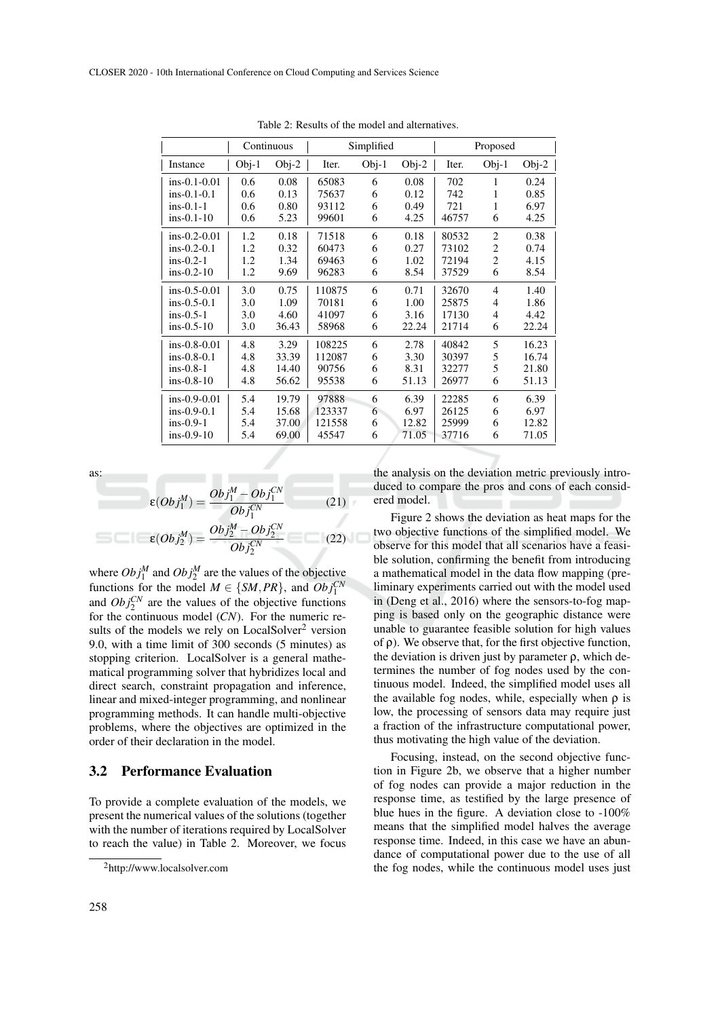|                | Continuous |         | Simplified |         |         | Proposed |                |         |
|----------------|------------|---------|------------|---------|---------|----------|----------------|---------|
| Instance       | $Obj-1$    | $Obj-2$ | Iter.      | $Obj-1$ | $Obj-2$ | Iter.    | $Obj-1$        | $Obj-2$ |
| $ins-0.1-0.01$ | 0.6        | 0.08    | 65083      | 6       | 0.08    | 702      | 1              | 0.24    |
| $ins-0.1-0.1$  | 0.6        | 0.13    | 75637      | 6       | 0.12    | 742      | 1              | 0.85    |
| $ins-0.1-1$    | 0.6        | 0.80    | 93112      | 6       | 0.49    | 721      | 1              | 6.97    |
| $ins-0.1-10$   | 0.6        | 5.23    | 99601      | 6       | 4.25    | 46757    | 6              | 4.25    |
| $ins-0.2-0.01$ | 1.2        | 0.18    | 71518      | 6       | 0.18    | 80532    | $\overline{c}$ | 0.38    |
| $ins-0.2-0.1$  | 1.2        | 0.32    | 60473      | 6       | 0.27    | 73102    | 2              | 0.74    |
| $ins-0.2-1$    | 1.2        | 1.34    | 69463      | 6       | 1.02    | 72194    | $\overline{2}$ | 4.15    |
| $ins-0.2-10$   | 1.2        | 9.69    | 96283      | 6       | 8.54    | 37529    | 6              | 8.54    |
| $ins-0.5-0.01$ | 3.0        | 0.75    | 110875     | 6       | 0.71    | 32670    | 4              | 1.40    |
| $ins-0.5-0.1$  | 3.0        | 1.09    | 70181      | 6       | 1.00    | 25875    | 4              | 1.86    |
| $ins-0.5-1$    | 3.0        | 4.60    | 41097      | 6       | 3.16    | 17130    | 4              | 4.42    |
| $ins-0.5-10$   | 3.0        | 36.43   | 58968      | 6       | 22.24   | 21714    | 6              | 22.24   |
| $ins-0.8-0.01$ | 4.8        | 3.29    | 108225     | 6       | 2.78    | 40842    | 5              | 16.23   |
| $ins-0.8-0.1$  | 4.8        | 33.39   | 112087     | 6       | 3.30    | 30397    | 5              | 16.74   |
| $ins-0.8-1$    | 4.8        | 14.40   | 90756      | 6       | 8.31    | 32277    | 5              | 21.80   |
| $ins-0.8-10$   | 4.8        | 56.62   | 95538      | 6       | 51.13   | 26977    | 6              | 51.13   |
| $ins-0.9-0.01$ | 5.4        | 19.79   | 97888      | 6       | 6.39    | 22285    | 6              | 6.39    |
| $ins-0.9-0.1$  | 5.4        | 15.68   | 123337     | 6       | 6.97    | 26125    | 6              | 6.97    |
| $ins-0.9-1$    | 5.4        | 37.00   | 121558     | 6       | 12.82   | 25999    | 6              | 12.82   |
| $ins-0.9-10$   | 5.4        | 69.00   | 45547      | 6       | 71.05   | 37716    | 6              | 71.05   |

Table 2: Results of the model and alternatives.

as:

$$
\varepsilon (Obj_1^M) = \frac{Obj_1^M - Obj_1^{CN}}{Obj_1^{CN}} \qquad (21)
$$

$$
\varepsilon (Obj_2^M) = \frac{Obj_2^M - Obj_2^{CN}}{Obj_2^{CN}} \qquad (22)
$$

where  $Obj_1^M$  and  $Obj_2^M$  are the values of the objective functions for the model  $M \in \{SM, PR\}$ , and  $Obj_1^{CN}$ and  $Obj_2^{CN}$  are the values of the objective functions for the continuous model (*CN*). For the numeric results of the models we rely on LocalSolver<sup>2</sup> version 9.0, with a time limit of 300 seconds (5 minutes) as stopping criterion. LocalSolver is a general mathematical programming solver that hybridizes local and direct search, constraint propagation and inference, linear and mixed-integer programming, and nonlinear programming methods. It can handle multi-objective problems, where the objectives are optimized in the order of their declaration in the model.

#### 3.2 Performance Evaluation

To provide a complete evaluation of the models, we present the numerical values of the solutions (together with the number of iterations required by LocalSolver to reach the value) in Table 2. Moreover, we focus

the analysis on the deviation metric previously introduced to compare the pros and cons of each considered model.

Figure 2 shows the deviation as heat maps for the two objective functions of the simplified model. We observe for this model that all scenarios have a feasible solution, confirming the benefit from introducing a mathematical model in the data flow mapping (preliminary experiments carried out with the model used in (Deng et al., 2016) where the sensors-to-fog mapping is based only on the geographic distance were unable to guarantee feasible solution for high values of  $\rho$ ). We observe that, for the first objective function, the deviation is driven just by parameter  $ρ$ , which determines the number of fog nodes used by the continuous model. Indeed, the simplified model uses all the available fog nodes, while, especially when  $\rho$  is low, the processing of sensors data may require just a fraction of the infrastructure computational power, thus motivating the high value of the deviation.

Focusing, instead, on the second objective function in Figure 2b, we observe that a higher number of fog nodes can provide a major reduction in the response time, as testified by the large presence of blue hues in the figure. A deviation close to -100% means that the simplified model halves the average response time. Indeed, in this case we have an abundance of computational power due to the use of all the fog nodes, while the continuous model uses just

<sup>2</sup>http://www.localsolver.com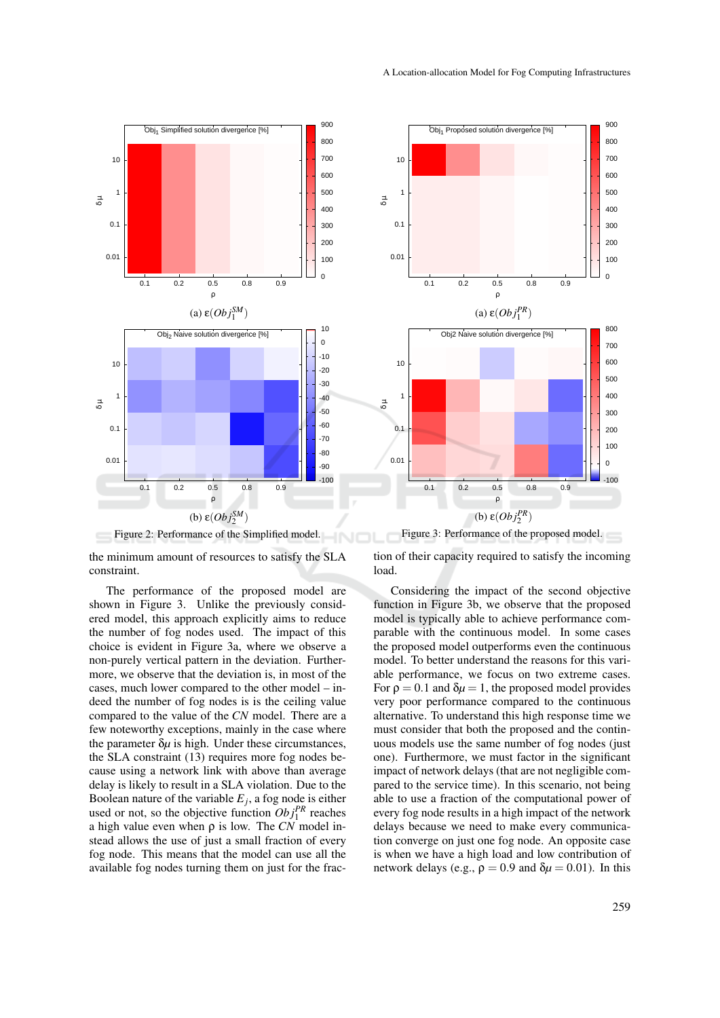

Figure 2: Performance of the Simplified model.

the minimum amount of resources to satisfy the SLA constraint.

The performance of the proposed model are shown in Figure 3. Unlike the previously considered model, this approach explicitly aims to reduce the number of fog nodes used. The impact of this choice is evident in Figure 3a, where we observe a non-purely vertical pattern in the deviation. Furthermore, we observe that the deviation is, in most of the cases, much lower compared to the other model – indeed the number of fog nodes is is the ceiling value compared to the value of the *CN* model. There are a few noteworthy exceptions, mainly in the case where the parameter  $\delta \mu$  is high. Under these circumstances, the SLA constraint (13) requires more fog nodes because using a network link with above than average delay is likely to result in a SLA violation. Due to the Boolean nature of the variable *E<sup>j</sup>* , a fog node is either used or not, so the objective function  $Obj_1^{PR}$  reaches a high value even when ρ is low. The *CN* model instead allows the use of just a small fraction of every fog node. This means that the model can use all the available fog nodes turning them on just for the frac-



Figure 3: Performance of the proposed model.

tion of their capacity required to satisfy the incoming load.

Considering the impact of the second objective function in Figure 3b, we observe that the proposed model is typically able to achieve performance comparable with the continuous model. In some cases the proposed model outperforms even the continuous model. To better understand the reasons for this variable performance, we focus on two extreme cases. For  $\rho = 0.1$  and  $\delta \mu = 1$ , the proposed model provides very poor performance compared to the continuous alternative. To understand this high response time we must consider that both the proposed and the continuous models use the same number of fog nodes (just one). Furthermore, we must factor in the significant impact of network delays (that are not negligible compared to the service time). In this scenario, not being able to use a fraction of the computational power of every fog node results in a high impact of the network delays because we need to make every communication converge on just one fog node. An opposite case is when we have a high load and low contribution of network delays (e.g.,  $\rho = 0.9$  and  $\delta \mu = 0.01$ ). In this